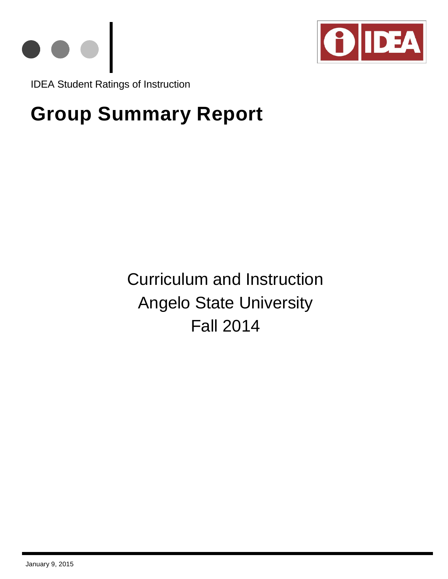



IDEA Student Ratings of Instruction

# **Group Summary Report**

Curriculum and Instruction Angelo State University Fall 2014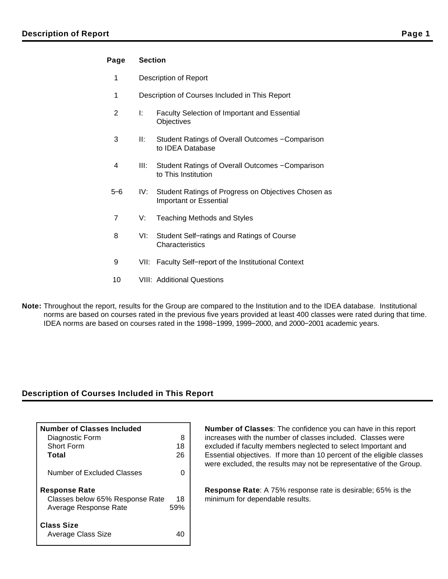# **Page Section**

- 1 Description of Report
- 1 Description of Courses Included in This Report
- 2 I: Faculty Selection of Important and Essential **Objectives**
- 3 II: Student Ratings of Overall Outcomes − Comparison to IDEA Database
- 4 III: Student Ratings of Overall Outcomes − Comparison to This Institution
- 5−6 IV: Student Ratings of Progress on Objectives Chosen as Important or Essential
- 7 V: Teaching Methods and Styles
- 8 VI: Student Self−ratings and Ratings of Course **Characteristics**
- 9 VII: Faculty Self–report of the Institutional Context
- 10 VIII: Additional Questions
- **Note:** Throughout the report, results for the Group are compared to the Institution and to the IDEA database. Institutional norms are based on courses rated in the previous five years provided at least 400 classes were rated during that time. IDEA norms are based on courses rated in the 1998−1999, 1999−2000, and 2000−2001 academic years.

# **Description of Courses Included in This Report**

| <b>Number of Classes Included</b>       |     |
|-----------------------------------------|-----|
| Diagnostic Form                         | 8   |
| Short Form                              | 18  |
| Total                                   | 26  |
| Number of Excluded Classes              |     |
| <b>Response Rate</b>                    |     |
| Classes below 65% Response Rate         | 18  |
| Average Response Rate                   | 59% |
| <b>Class Size</b><br>Average Class Size | 40  |

**Number of Classes**: The confidence you can have in this report increases with the number of classes included. Classes were excluded if faculty members neglected to select Important and Essential objectives. If more than 10 percent of the eligible classes were excluded, the results may not be representative of the Group.

**Response Rate**: A 75% response rate is desirable; 65% is the minimum for dependable results.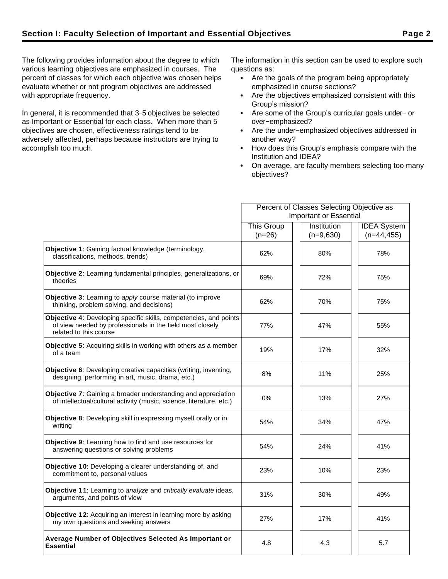The following provides information about the degree to which various learning objectives are emphasized in courses. The percent of classes for which each objective was chosen helps evaluate whether or not program objectives are addressed with appropriate frequency.

In general, it is recommended that 3−5 objectives be selected as Important or Essential for each class. When more than 5 objectives are chosen, effectiveness ratings tend to be adversely affected, perhaps because instructors are trying to accomplish too much.

The information in this section can be used to explore such questions as:

- Are the goals of the program being appropriately emphasized in course sections?
- Are the objectives emphasized consistent with this Group's mission?
- Are some of the Group's curricular goals under− or over−emphasized?
- Are the under−emphasized objectives addressed in another way?
- How does this Group's emphasis compare with the Institution and IDEA?
- On average, are faculty members selecting too many objectives?

|                                                                                                                                                          | Percent of Classes Selecting Objective as |             |                    |  |
|----------------------------------------------------------------------------------------------------------------------------------------------------------|-------------------------------------------|-------------|--------------------|--|
|                                                                                                                                                          | <b>Important or Essential</b>             |             |                    |  |
|                                                                                                                                                          | This Group                                | Institution | <b>IDEA</b> System |  |
|                                                                                                                                                          | $(n=26)$                                  | $(n=9,630)$ | $(n=44, 455)$      |  |
| Objective 1: Gaining factual knowledge (terminology,<br>classifications, methods, trends)                                                                | 62%                                       | 80%         | 78%                |  |
| Objective 2: Learning fundamental principles, generalizations, or<br>theories                                                                            | 69%                                       | 72%         | 75%                |  |
| <b>Objective 3:</b> Learning to apply course material (to improve<br>thinking, problem solving, and decisions)                                           | 62%                                       | 70%         | 75%                |  |
| Objective 4: Developing specific skills, competencies, and points<br>of view needed by professionals in the field most closely<br>related to this course | 77%                                       | 47%         | 55%                |  |
| <b>Objective 5:</b> Acquiring skills in working with others as a member<br>of a team                                                                     | 19%                                       | 17%         | 32%                |  |
| Objective 6: Developing creative capacities (writing, inventing,<br>designing, performing in art, music, drama, etc.)                                    | 8%                                        | 11%         | 25%                |  |
| <b>Objective 7:</b> Gaining a broader understanding and appreciation<br>of intellectual/cultural activity (music, science, literature, etc.)             | $0\%$                                     | 13%         | 27%                |  |
| Objective 8: Developing skill in expressing myself orally or in<br>writing                                                                               | 54%                                       | 34%         | 47%                |  |
| Objective 9: Learning how to find and use resources for<br>answering questions or solving problems                                                       | 54%                                       | 24%         | 41%                |  |
| Objective 10: Developing a clearer understanding of, and<br>commitment to, personal values                                                               | 23%                                       | 10%         | 23%                |  |
| <b>Objective 11:</b> Learning to analyze and critically evaluate ideas,<br>arguments, and points of view                                                 | 31%                                       | 30%         | 49%                |  |
| Objective 12: Acquiring an interest in learning more by asking<br>my own questions and seeking answers                                                   | 27%                                       | 17%         | 41%                |  |
| Average Number of Objectives Selected As Important or<br><b>Essential</b>                                                                                | 4.8                                       | 4.3         | 5.7                |  |
|                                                                                                                                                          |                                           |             |                    |  |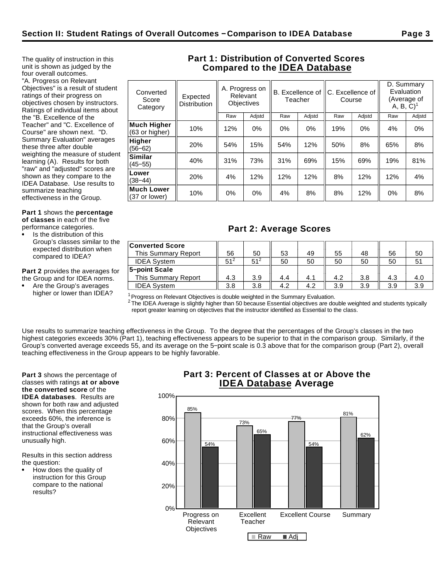The quality of instruction in this unit is shown as judged by the four overall outcomes. "A. Progress on Relevant Objectives" is a result of student ratings of their progress on objectives chosen by instructors. Ratings of individual items about the "B. Excellence of the Teacher" and "C. Excellence of Course" are shown next. "D. Summary Evaluation" averages these three after double weighting the measure of student learning (A). Results for both "raw" and "adjusted" scores are shown as they compare to the IDEA Database. Use results to

**Part 1** shows the **percentage of classes** in each of the five

performance categories.

summarize teaching effectiveness in the Group.

Is the distribution of this Group's classes similar to the expected distribution when compared to IDEA?

**Part 2** provides the averages for the Group and for IDEA norms.

Are the Group's averages higher or lower than IDEA?

# **Part 1: Distribution of Converted Scores Compared to the IDEA Database**

| Converted<br>Score<br>Category | Expected<br><b>Distribution</b> |       | A. Progress on<br>Relevant<br><b>Objectives</b> | Teacher | B. Excellence of | C. Excellence of<br>Course |        | D. Summary<br>Evaluation<br>$A, B, C$ <sup>1</sup> | (Average of |
|--------------------------------|---------------------------------|-------|-------------------------------------------------|---------|------------------|----------------------------|--------|----------------------------------------------------|-------------|
|                                |                                 | Raw   | Adjstd                                          | Raw     | Adjstd           | Raw                        | Adjstd | Raw                                                | Adjstd      |
| Much Higher<br>(63 or higher)  | 10%                             | 12%   | $0\%$                                           | 0%      | 0%               | 19%                        | 0%     | 4%                                                 | 0%          |
| <b>Higher</b><br>$(56 - 62)$   | 20%                             | 54%   | 15%                                             | 54%     | 12%              | 50%                        | 8%     | 65%                                                | 8%          |
| Similar<br>$(45 - 55)$         | 40%                             | 31%   | 73%                                             | 31%     | 69%              | 15%                        | 69%    | 19%                                                | 81%         |
| Lower<br>$(38 - 44)$           | 20%                             | 4%    | 12%                                             | 12%     | 12%              | 8%                         | 12%    | 12%                                                | 4%          |
| Much Lower<br>(37 or lower)    | 10%                             | $0\%$ | $0\%$                                           | 4%      | 8%               | 8%                         | 12%    | 0%                                                 | 8%          |
|                                |                                 |       |                                                 |         |                  |                            |        |                                                    |             |

# **Part 2: Average Scores**

| <b>Converted Score</b><br>This Summary Report | 56       | 50       | 53  | 49  | 55  | 48  | 56  | 50  |
|-----------------------------------------------|----------|----------|-----|-----|-----|-----|-----|-----|
| <b>IDEA System</b>                            | $51^{2}$ | $51^{2}$ | 50  | 50  | 50  | 50  | 50  |     |
| 5-point Scale                                 |          |          |     |     |     |     |     |     |
| This Summary Report                           | 4.3      | 3.9      | 4.4 | 4.1 | 4.2 | 3.8 | 4.3 | 4.0 |
| <b>IDEA System</b>                            | 3.8      | 3.8      | 4.2 | 4.2 | 3.9 | 3.9 | 3.9 | 3.9 |

 $1$ Progress on Relevant Objectives is double weighted in the Summary Evaluation.

 $^2$  The IDEA Average is slightly higher than 50 because Essential objectives are double weighted and students typically report greater learning on objectives that the instructor identified as Essential to the class.

Use results to summarize teaching effectiveness in the Group. To the degree that the percentages of the Group's classes in the two highest categories exceeds 30% (Part 1), teaching effectiveness appears to be superior to that in the comparison group. Similarly, if the Group's converted average exceeds 55, and its average on the 5−point scale is 0.3 above that for the comparison group (Part 2), overall teaching effectiveness in the Group appears to be highly favorable.

**Part 3** shows the percentage of classes with ratings **at or above the converted score** of the **IDEA databases**. Results are shown for both raw and adjusted scores. When this percentage exceeds 60%, the inference is that the Group's overall instructional effectiveness was unusually high.

Results in this section address the question:

How does the quality of instruction for this Group compare to the national results?

# **Part 3: Percent of Classes at or Above the IDEA Database Average**

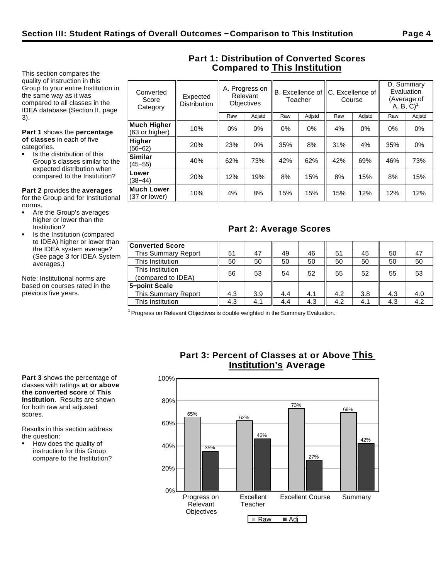This section compares the quality of instruction in this Group to your entire Institution in the same way as it was compared to all classes in the IDEA database (Section II, page 3).

**Part 1** shows the **percentage of classes** in each of five categories.

Is the distribution of this Group's classes similar to the expected distribution when compared to the Institution?

**Part 2** provides the **averages** for the Group and for Institutional norms.

- Are the Group's averages higher or lower than the Institution?
- Is the Institution (compared to IDEA) higher or lower than the IDEA system average? (See page 3 for IDEA System averages.)

Note: Institutional norms are based on courses rated in the previous five years.

| verted<br>core:<br>egory | Expected<br><b>Distribution</b> | A. Progress on<br>Relevant | <b>Objectives</b> |     | Teacher | B. Excellence of    C. Excellence of  <br>Course |        | D. Summary<br>Evaluation<br>A, B, C) | (Average of |
|--------------------------|---------------------------------|----------------------------|-------------------|-----|---------|--------------------------------------------------|--------|--------------------------------------|-------------|
|                          |                                 | Raw                        | Adistd            | Raw | Adistd  | Raw                                              | Adistd | Raw                                  | Adjsto      |
| <b>Higher</b><br>hiaher) | 10%                             | $0\%$                      | 0%                | 0%  | 0%      | 4%                                               | 0%     | 0%                                   | $0\%$       |

# **Part 1: Distribution of Converted Scores Compared to This Institution**

| Converted<br>Score<br>Category       | Expected<br><b>Distribution</b> | 1.1.1.0910000.011<br>Relevant<br><b>Objectives</b> |        | Teacher |        | B. Excellence of IIC. Excellence of I<br>Course |        | Evaluation<br>(Average of<br>$A, B, C$ <sup>1</sup> |        |
|--------------------------------------|---------------------------------|----------------------------------------------------|--------|---------|--------|-------------------------------------------------|--------|-----------------------------------------------------|--------|
|                                      |                                 | Raw                                                | Adjstd | Raw     | Adjstd | Raw                                             | Adjstd | Raw                                                 | Adjstd |
| <b>Much Higher</b><br>(63 or higher) | 10%                             | 0%                                                 | 0%     | $0\%$   | $0\%$  | 4%                                              | 0%     | 0%                                                  | $0\%$  |
| Higher<br>(56–62)                    | 20%                             | 23%                                                | 0%     | 35%     | 8%     | 31%                                             | 4%     | 35%                                                 | $0\%$  |
| <b>Similar</b><br>$(45 - 55)$        | 40%                             | 62%                                                | 73%    | 42%     | 62%    | 42%                                             | 69%    | 46%                                                 | 73%    |
| Lower<br>$(38 - 44)$                 | 20%                             | 12%                                                | 19%    | 8%      | 15%    | 8%                                              | 15%    | 8%                                                  | 15%    |
| <b>Much Lower</b><br>(37 or lower)   | 10%                             | 4%                                                 | 8%     | 15%     | 15%    | 15%                                             | 12%    | 12%                                                 | 12%    |

# **Part 2: Average Scores**

| <b>Converted Score</b>     |     |     |     |     |     |     |     |     |
|----------------------------|-----|-----|-----|-----|-----|-----|-----|-----|
| This Summary Report        | 51  | 47  | 49  | 46  | 51  | 45  | 50  | 47  |
| This Institution           | 50  | 50  | 50  | 50  | 50  | 50  | 50  | 50  |
| This Institution           |     |     |     | 52  |     |     |     |     |
| (compared to IDEA)         | 56  | 53  | 54  |     | 55  | 52  | 55  | 53  |
| 5-point Scale              |     |     |     |     |     |     |     |     |
| <b>This Summary Report</b> | 4.3 | 3.9 | 4.4 | 4.1 | 4.2 | 3.8 | 4.3 | 4.0 |
| This Institution           | 4.3 | 4.1 | 4.4 | 4.3 | 4.2 | 4.1 | 4.3 | 4.2 |

 $1$  Progress on Relevant Objectives is double weighted in the Summary Evaluation.

**Part 3** shows the percentage of classes with ratings **at or above the converted score** of **This Institution**. Results are shown for both raw and adjusted scores.

Results in this section address the question:

How does the quality of instruction for this Group compare to the Institution?

# **Part 3: Percent of Classes at or Above This Institution's Average**

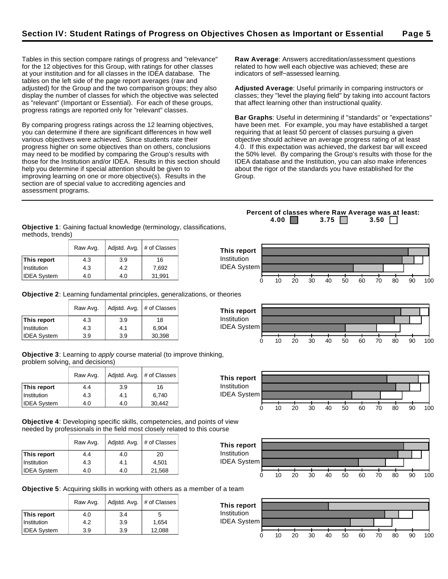**This report** Institution IDEA System

Tables in this section compare ratings of progress and "relevance" for the 12 objectives for this Group, with ratings for other classes at your institution and for all classes in the IDEA database. The tables on the left side of the page report averages (raw and adjusted) for the Group and the two comparison groups; they also display the number of classes for which the objective was selected as "relevant" (Important or Essential). For each of these groups, progress ratings are reported only for "relevant" classes.

By comparing progress ratings across the 12 learning objectives, you can determine if there are significant differences in how well various objectives were achieved. Since students rate their progress higher on some objectives than on others, conclusions may need to be modified by comparing the Group's results with those for the Institution and/or IDEA. Results in this section should help you determine if special attention should be given to improving learning on one or more objective(s). Results in the section are of special value to accrediting agencies and assessment programs.

**Raw Average**: Answers accreditation/assessment questions related to how well each objective was achieved; these are indicators of self−assessed learning.

**Adjusted Average**: Useful primarily in comparing instructors or classes; they "level the playing field" by taking into account factors that affect learning other than instructional quality.

**Bar Graphs**: Useful in determining if "standards" or "expectations" have been met. For example, you may have established a target requiring that at least 50 percent of classes pursuing a given objective should achieve an average progress rating of at least 4.0. If this expectation was achieved, the darkest bar will exceed the 50% level. By comparing the Group's results with those for the IDEA database and the Institution, you can also make inferences about the rigor of the standards you have established for the Group.

**Objective 1**: Gaining factual knowledge (terminology, classifications, methods, trends)

|                    | Raw Avg. | Adjstd. Avg. | # of Classes |
|--------------------|----------|--------------|--------------|
| This report        | 4.3      | 3.9          | 16           |
| Institution        | 4.3      | 4.2          | 7,692        |
| <b>IDEA System</b> | 4.0      | 4.0          | 31,991       |

**This report**





**Objective 3**: Learning to apply course material (to improve thinking, problem solving, and decisions)

Raw Avg.  $\vert$  Adjstd. Avg.  $\vert \#$  of Classes

|                    | Raw Avg. | Adjstd. Avg. | # of Classes |
|--------------------|----------|--------------|--------------|
| This report        | 4.4      | 3.9          | 16           |
| Institution        | 4.3      | 4.1          | 6.740        |
| <b>IDEA System</b> | 4.0      | 4.0          | 30,442       |

**This report**  $\begin{array}{|c|c|c|c|} \hline \end{array}$  4.3  $\begin{array}{|c|c|c|} \hline \end{array}$  3.9  $\begin{array}{|c|c|c|} \hline \end{array}$  18 Institution 4.3 4.1 6,904 IDEA System | 3.9 | 3.9 | 30,398

**Objective 4**: Developing specific skills, competencies, and points of view needed by professionals in the field most closely related to this course

| Raw Avg. | Adjstd. Avg. | # of Classes |
|----------|--------------|--------------|
| 4.4      | 4.0          | 20           |
| 4.3      | 4.1          | 4.501        |
| 4.0      | 4.0          | 21,568       |
|          |              |              |



0 10 20 30 40 50 60 70 80 90 100

**Objective 5**: Acquiring skills in working with others as a member of a team

|                    | Raw Avg. | Adjstd. Avg. | # of Classes |
|--------------------|----------|--------------|--------------|
| This report        | 4.0      | 3.4          | 5            |
| Institution        | 4.2      | 3.9          | 1.654        |
| <b>IDEA System</b> | 3.9      | 3.9          | 12,088       |



**Percent of classes where Raw Average was at least: 4.00 3.75 3.50**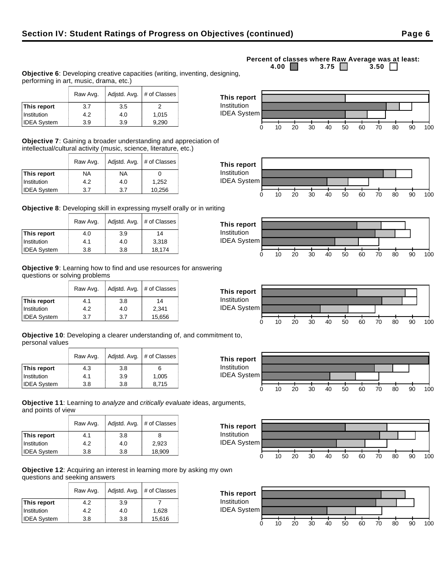### **Institution** 4.2 4.0 4.015  $IDEA System$   $3.9$   $3.9$   $3.9$  9,290 IDEA System

Raw Avg.  $\vert$  Adjstd. Avg.  $\vert \#$  of Classes

**Objective 7**: Gaining a broader understanding and appreciation of intellectual/cultural activity (music, science, literature, etc.)

|                    | Raw Avg.  | Adjstd. Avg. | # of Classes |
|--------------------|-----------|--------------|--------------|
| This report        | <b>NA</b> | NA           |              |
| Institution        | 4.2       | 4.0          | 1,252        |
| <b>IDEA System</b> | 3.7       | 3.7          | 10,256       |

performing in art, music, drama, etc.)

**This report**  $\begin{array}{|c|c|c|c|} \hline \end{array}$  3.7  $\begin{array}{|c|c|c|} \hline \end{array}$  3.5  $\begin{array}{|c|c|c|} \hline \end{array}$  2

**Objective 8**: Developing skill in expressing myself orally or in writing

|                    | Raw Avg. | Adjstd. Avg. | # of Classes |
|--------------------|----------|--------------|--------------|
| This report        | 4.0      | 3.9          | 14           |
| Institution        | 4.1      | 4.0          | 3,318        |
| <b>IDEA System</b> | 3.8      | 3.8          | 18,174       |

**Objective 9**: Learning how to find and use resources for answering questions or solving problems

|                    | Raw Avg. | Adjstd. Avg. | # of Classes |
|--------------------|----------|--------------|--------------|
| This report        | 4.1      | 3.8          | 14           |
| Institution        | 4.2      | 4.0          | 2,341        |
| <b>IDEA System</b> | 3.7      | 3.7          | 15,656       |

**Objective 10**: Developing a clearer understanding of, and commitment to, personal values

|                    | Raw Avg. | Adjstd. Avg.<br># of Classes |       |
|--------------------|----------|------------------------------|-------|
| This report        | 4.3      | 3.8                          | 6     |
| Institution        | 4.1      | 3.9                          | 1,005 |
| <b>IDEA System</b> | 3.8      | 3.8                          | 8.715 |

**Objective 11**: Learning to analyze and critically evaluate ideas, arguments, and points of view

|                    | Raw Avg. | Adjstd. Avg. | # of Classes |
|--------------------|----------|--------------|--------------|
| This report        | 4.1      | 3.8          | 8            |
| Institution        | 4.2      | 4.0          | 2,923        |
| <b>IDEA System</b> | 3.8      | 3.8          | 18,909       |

**Objective 12**: Acquiring an interest in learning more by asking my own questions and seeking answers

|                    | Raw Avg. | Adjstd. Avg. | # of Classes |
|--------------------|----------|--------------|--------------|
| This report        | 4.2      | 3.9          |              |
| Institution        | 4.2      | 4.0          | 1.628        |
| <b>IDEA System</b> | 3.8      | 3.8          | 15,616       |

**This report** Institution



0 10 20 30 40 50 60 70 80 90 100













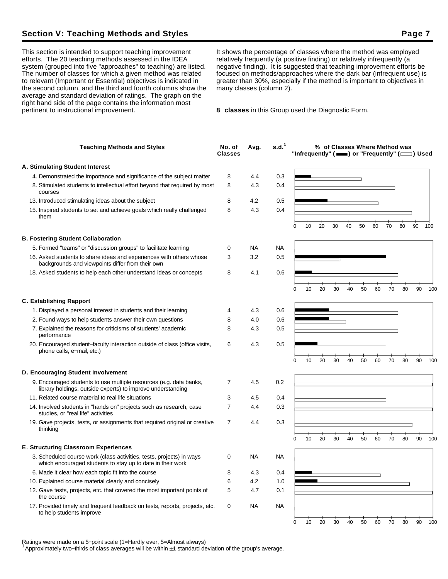# **Section V: Teaching Methods and Styles Page 7**

This section is intended to support teaching improvement efforts. The 20 teaching methods assessed in the IDEA system (grouped into five "approaches" to teaching) are listed. The number of classes for which a given method was related to relevant (Important or Essential) objectives is indicated in the second column, and the third and fourth columns show the average and standard deviation of ratings. The graph on the right hand side of the page contains the information most pertinent to instructional improvement.

It shows the percentage of classes where the method was employed relatively frequently (a positive finding) or relatively infrequently (a negative finding). It is suggested that teaching improvement efforts be focused on methods/approaches where the dark bar (infrequent use) is greater than 30%, especially if the method is important to objectives in many classes (column 2).

**8 classes** in this Group used the Diagnostic Form.

| <b>Teaching Methods and Styles</b>                                                                                                 | No. of<br><b>Classes</b> | Avg.      | s.d. <sup>1</sup> |   |    |    |    |    | % of Classes Where Method was |    |    |    | "Infrequently" ( $\equiv$ ) or "Frequently" ( $\equiv$ ) Used |     |
|------------------------------------------------------------------------------------------------------------------------------------|--------------------------|-----------|-------------------|---|----|----|----|----|-------------------------------|----|----|----|---------------------------------------------------------------|-----|
| A. Stimulating Student Interest                                                                                                    |                          |           |                   |   |    |    |    |    |                               |    |    |    |                                                               |     |
| 4. Demonstrated the importance and significance of the subject matter                                                              | 8                        | 4.4       | 0.3               |   |    |    |    |    |                               |    |    |    |                                                               |     |
| 8. Stimulated students to intellectual effort beyond that required by most<br>courses                                              | 8                        | 4.3       | 0.4               |   |    |    |    |    |                               |    |    |    |                                                               |     |
| 13. Introduced stimulating ideas about the subject                                                                                 | 8                        | 4.2       | 0.5               |   |    |    |    |    |                               |    |    |    |                                                               |     |
| 15. Inspired students to set and achieve goals which really challenged<br>them                                                     | 8                        | 4.3       | 0.4               |   |    |    |    |    |                               |    |    |    |                                                               |     |
|                                                                                                                                    |                          |           |                   | 0 | 10 | 20 | 30 | 40 | 50                            | 60 | 70 | 80 | 90                                                            | 100 |
| <b>B. Fostering Student Collaboration</b>                                                                                          |                          |           |                   |   |    |    |    |    |                               |    |    |    |                                                               |     |
| 5. Formed "teams" or "discussion groups" to facilitate learning                                                                    | 0                        | NА        | NA                |   |    |    |    |    |                               |    |    |    |                                                               |     |
| 16. Asked students to share ideas and experiences with others whose<br>backgrounds and viewpoints differ from their own            | 3                        | 3.2       | 0.5               |   |    |    |    |    |                               |    |    |    |                                                               |     |
| 18. Asked students to help each other understand ideas or concepts                                                                 | 8                        | 4.1       | 0.6               |   |    |    |    |    |                               |    |    |    |                                                               |     |
|                                                                                                                                    |                          |           |                   | 0 | 10 | 20 | 30 | 40 | 50                            | 60 | 70 | 80 | 90                                                            | 100 |
| <b>C. Establishing Rapport</b>                                                                                                     |                          |           |                   |   |    |    |    |    |                               |    |    |    |                                                               |     |
| 1. Displayed a personal interest in students and their learning                                                                    | 4                        | 4.3       | 0.6               |   |    |    |    |    |                               |    |    |    |                                                               |     |
| 2. Found ways to help students answer their own questions                                                                          | 8                        | 4.0       | 0.6               |   |    |    |    |    |                               |    |    |    |                                                               |     |
| 7. Explained the reasons for criticisms of students' academic<br>performance                                                       | 8                        | 4.3       | 0.5               |   |    |    |    |    |                               |    |    |    |                                                               |     |
| 20. Encouraged student-faculty interaction outside of class (office visits,<br>phone calls, e-mail, etc.)                          | 6                        | 4.3       | 0.5               |   |    |    |    |    |                               |    |    |    |                                                               |     |
|                                                                                                                                    |                          |           |                   | 0 | 10 | 20 | 30 | 40 | 50                            | 60 | 70 | 80 | 90                                                            | 100 |
| D. Encouraging Student Involvement                                                                                                 |                          |           |                   |   |    |    |    |    |                               |    |    |    |                                                               |     |
| 9. Encouraged students to use multiple resources (e.g. data banks,<br>library holdings, outside experts) to improve understanding  | 7                        | 4.5       | 0.2               |   |    |    |    |    |                               |    |    |    |                                                               |     |
| 11. Related course material to real life situations                                                                                | 3                        | 4.5       | 0.4               |   |    |    |    |    |                               |    |    |    |                                                               |     |
| 14. Involved students in "hands on" projects such as research, case<br>studies, or "real life" activities                          | 7                        | 4.4       | 0.3               |   |    |    |    |    |                               |    |    |    |                                                               |     |
| 19. Gave projects, tests, or assignments that required original or creative<br>thinking                                            | 7                        | 4.4       | 0.3               |   |    |    |    |    |                               |    |    |    |                                                               |     |
|                                                                                                                                    |                          |           |                   | 0 | 10 | 20 | 30 | 40 | 50                            | 60 | 70 | 80 | 90                                                            | 100 |
| <b>E. Structuring Classroom Experiences</b>                                                                                        |                          |           |                   |   |    |    |    |    |                               |    |    |    |                                                               |     |
| 3. Scheduled course work (class activities, tests, projects) in ways<br>which encouraged students to stay up to date in their work | 0                        | <b>NA</b> | NA                |   |    |    |    |    |                               |    |    |    |                                                               |     |
| 6. Made it clear how each topic fit into the course                                                                                | 8                        | 4.3       | 0.4               |   |    |    |    |    |                               |    |    |    |                                                               |     |
| 10. Explained course material clearly and concisely                                                                                | 6                        | 4.2       | 1.0               |   |    |    |    |    |                               |    |    |    |                                                               |     |
| 12. Gave tests, projects, etc. that covered the most important points of<br>the course                                             | 5                        | 4.7       | 0.1               |   |    |    |    |    |                               |    |    |    |                                                               |     |
| 17. Provided timely and frequent feedback on tests, reports, projects, etc.<br>to help students improve                            | 0                        | NA        | <b>NA</b>         |   |    |    |    |    |                               |    |    |    |                                                               |     |
|                                                                                                                                    |                          |           |                   | 0 | 10 | 20 | 30 | 40 | 50                            | 60 | 70 | 80 | 90                                                            | 100 |

Ratings were made on a 5−point scale (1=Hardly ever, 5=Almost always)

<sup>1</sup>Approximately two−thirds of class averages will be within 1 standard deviation of the group's average.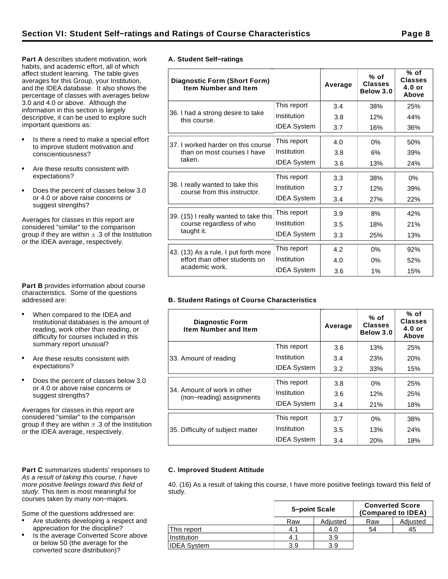**Part A** describes student motivation, work habits, and academic effort, all of which affect student learning. The table gives averages for this Group, your Institution, and the IDEA database. It also shows the percentage of classes with averages below 3.0 and 4.0 or above. Although the information in this section is largely descriptive, it can be used to explore such important questions as:

- Is there a need to make a special effort to improve student motivation and conscientiousness?
- Are these results consistent with expectations?
- Does the percent of classes below 3.0  $\bullet$ or 4.0 or above raise concerns or suggest strengths?

Averages for classes in this report are considered "similar" to the comparison group if they are within  $\pm$  .3 of the Institution or the IDEA average, respectively.

**Part B** provides information about course characteristics. Some of the questions addressed are:

- When compared to the IDEA and Institutional databases is the amount of reading, work other than reading, or difficulty for courses included in this summary report unusual?
- Are these results consistent with expectations?
- Does the percent of classes below 3.0 or 4.0 or above raise concerns or suggest strengths?

Averages for classes in this report are considered "similar" to the comparison group if they are within  $\pm$  .3 of the Institution or the IDEA average, respectively.

### Part C summarizes students' responses to As a result of taking this course, I have more positive feelings toward this field of study. This item is most meaningful for courses taken by many non−majors.

Some of the questions addressed are:

- Are students developing a respect and appreciation for the discipline?
- Is the average Converted Score above or below 50 (the average for the converted score distribution)?

|  | A. Student Self-ratings |
|--|-------------------------|

| <b>Diagnostic Form (Short Form)</b><br><b>Item Number and Item</b> |                    | Average | $%$ of<br><b>Classes</b><br>Below 3.0 | % of<br><b>Classes</b><br>$4.0$ or<br>Above |
|--------------------------------------------------------------------|--------------------|---------|---------------------------------------|---------------------------------------------|
|                                                                    | This report        | 3.4     | 38%                                   | 25%                                         |
| 36. I had a strong desire to take<br>this course.                  | Institution        | 3.8     | 12%                                   | 44%                                         |
|                                                                    | <b>IDEA System</b> | 3.7     | 16%                                   | 36%                                         |
| 37. I worked harder on this course                                 | This report        | 4.0     | 0%                                    | 50%                                         |
| than on most courses I have                                        | Institution        | 3.8     | 6%                                    | 39%                                         |
| taken.                                                             | <b>IDEA System</b> | 3.6     | 13%                                   | 24%                                         |
|                                                                    | This report        | 3.3     | 38%                                   | $0\%$                                       |
| 38. I really wanted to take this<br>course from this instructor.   | Institution        | 3.7     | 12%                                   | 39%                                         |
|                                                                    | <b>IDEA System</b> | 3.4     | 27%                                   | 22%                                         |
| 39. (15) I really wanted to take this                              | This report        | 3.9     | 8%                                    | 42%                                         |
| course regardless of who                                           | Institution        | 3.5     | 18%                                   | 21%                                         |
| taught it.                                                         | <b>IDEA System</b> | 3.3     | 25%                                   | 13%                                         |
| 43. (13) As a rule, I put forth more                               | This report        | 4.2     | 0%                                    | 92%                                         |
| effort than other students on                                      | Institution        | 4.0     | 0%                                    | 52%                                         |
| academic work.                                                     | <b>IDEA System</b> | 3.6     | 1%                                    | 15%                                         |

## **B. Student Ratings of Course Characteristics**

| <b>Diagnostic Form</b><br><b>Item Number and Item</b>    |                    | Average | $%$ of<br><b>Classes</b><br>Below 3.0 | % of<br><b>Classes</b><br>$4.0$ or<br>Above |
|----------------------------------------------------------|--------------------|---------|---------------------------------------|---------------------------------------------|
|                                                          | This report        | 3.6     | 13%                                   | 25%                                         |
| 33. Amount of reading                                    | Institution        | 3.4     | 23%                                   | 20%                                         |
|                                                          | <b>IDEA System</b> | 3.2     | 33%                                   | 15%                                         |
|                                                          | This report        | 3.8     | $0\%$                                 | 25%                                         |
| 34. Amount of work in other<br>(non-reading) assignments | Institution        | 3.6     | 12%                                   | 25%                                         |
|                                                          | <b>IDEA System</b> | 3.4     | 21%                                   | 18%                                         |
|                                                          | This report        | 3.7     | $0\%$                                 | 38%                                         |
| 35. Difficulty of subject matter                         | Institution        | 3.5     | 13%                                   | 24%                                         |
|                                                          | <b>IDEA System</b> | 3.4     | 20%                                   | 18%                                         |

## **C. Improved Student Attitude**

40. (16) As a result of taking this course, I have more positive feelings toward this field of study.

|                    | 5-point Scale |          | <b>Converted Score</b><br>(Compared to IDEA) |          |  |  |
|--------------------|---------------|----------|----------------------------------------------|----------|--|--|
|                    | Raw           | Adjusted | Raw                                          | Adjusted |  |  |
| This report        | 4.1           | 4.0      | 54                                           | 45       |  |  |
| Institution        | 4.1           | 3.9      |                                              |          |  |  |
| <b>IDEA System</b> | 3.9           | 3.9      |                                              |          |  |  |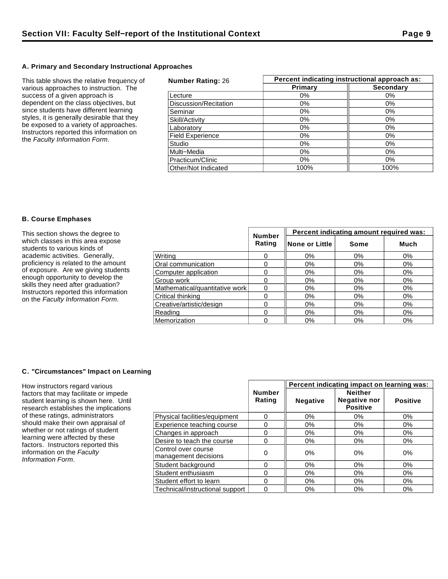## **A. Primary and Secondary Instructional Approaches**

This table shows the relative frequency of various approaches to instruction. The success of a given approach is dependent on the class objectives, but since students have different learning styles, it is generally desirable that they be exposed to a variety of approaches. Instructors reported this information on the Faculty Information Form.

| <b>Number Rating: 26</b> | Percent indicating instructional approach as: |                  |  |  |  |
|--------------------------|-----------------------------------------------|------------------|--|--|--|
|                          | Primary                                       | <b>Secondary</b> |  |  |  |
| Lecture                  | 0%                                            | 0%               |  |  |  |
| Discussion/Recitation    | $0\%$                                         | $0\%$            |  |  |  |
| Seminar                  | $0\%$                                         | $0\%$            |  |  |  |
| Skill/Activity           | 0%                                            | 0%               |  |  |  |
| Laboratorv               | 0%                                            | $0\%$            |  |  |  |
| <b>Field Experience</b>  | 0%                                            | 0%               |  |  |  |
| Studio                   | 0%                                            | 0%               |  |  |  |
| Multi-Media              | $0\%$                                         | $0\%$            |  |  |  |
| Practicum/Clinic         | $0\%$                                         | $0\%$            |  |  |  |
| Other/Not Indicated      | 100%                                          | 100%             |  |  |  |

### **B. Course Emphases**

| This section shows the degree to                                          |                                | <b>Number</b> | Percent indicating amount required was: |       |       |  |  |
|---------------------------------------------------------------------------|--------------------------------|---------------|-----------------------------------------|-------|-------|--|--|
| which classes in this area expose<br>students to various kinds of         |                                | Rating        | None or Little                          | Some  | Much  |  |  |
| academic activities. Generally,                                           | Writina                        |               | 0%                                      | 0%    | $0\%$ |  |  |
| proficiency is related to the amount                                      | Oral communication             |               | 0%                                      | 0%    | 0%    |  |  |
| of exposure. Are we giving students                                       | Computer application           |               | 0%                                      | 0%    | 0%    |  |  |
| enough opportunity to develop the                                         | Group work                     |               | 0%                                      | $0\%$ | $0\%$ |  |  |
| skills they need after graduation?                                        | Mathematical/quantitative work |               | 0%                                      | 0%    | 0%    |  |  |
| Instructors reported this information<br>on the Faculty Information Form. | Critical thinking              |               | $0\%$                                   | 0%    | 0%    |  |  |
|                                                                           | Creative/artistic/design       |               | 0%                                      | 0%    | 0%    |  |  |
|                                                                           | Reading                        |               | $0\%$                                   | $0\%$ | $0\%$ |  |  |
|                                                                           | Memorization                   |               | $0\%$                                   | $0\%$ | $0\%$ |  |  |

## **C. "Circumstances" Impact on Learning**

How instructors regard various factors that may facilitate or impede student learning is shown here. Until research establishes the implications of these ratings, administrators should make their own appraisal of whether or not ratings of student learning were affected by these factors. Instructors reported this information on the Faculty Information Form.

|                                             |                         | Percent indicating impact on learning was: |                                                          |                 |  |
|---------------------------------------------|-------------------------|--------------------------------------------|----------------------------------------------------------|-----------------|--|
|                                             | <b>Number</b><br>Rating | <b>Negative</b>                            | <b>Neither</b><br><b>Negative nor</b><br><b>Positive</b> | <b>Positive</b> |  |
| Physical facilities/equipment               | 0                       | 0%                                         | $0\%$                                                    | 0%              |  |
| Experience teaching course                  | 0                       | 0%                                         | 0%                                                       | 0%              |  |
| Changes in approach                         | 0                       | $0\%$                                      | 0%                                                       | 0%              |  |
| Desire to teach the course                  | 0                       | $0\%$                                      | $0\%$                                                    | $0\%$           |  |
| Control over course<br>management decisions | 0                       | $0\%$                                      | 0%                                                       | 0%              |  |
| Student background                          | 0                       | 0%                                         | 0%                                                       | $0\%$           |  |
| Student enthusiasm                          | 0                       | $0\%$                                      | $0\%$                                                    | 0%              |  |
| Student effort to learn                     | 0                       | 0%                                         | 0%                                                       | 0%              |  |
| Technical/instructional support             | 0                       | 0%                                         | $0\%$                                                    | 0%              |  |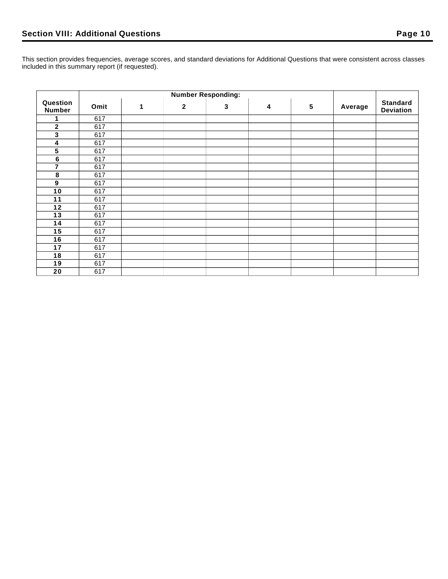This section provides frequencies, average scores, and standard deviations for Additional Questions that were consistent across classes included in this summary report (if requested).

| Question<br><b>Number</b> | Omit | 1 | $\mathbf{2}$ | 3 | 4 | $5\phantom{.0}$ | Average | <b>Standard</b><br><b>Deviation</b> |
|---------------------------|------|---|--------------|---|---|-----------------|---------|-------------------------------------|
| 1                         | 617  |   |              |   |   |                 |         |                                     |
| $\overline{2}$            | 617  |   |              |   |   |                 |         |                                     |
| $\mathbf 3$               | 617  |   |              |   |   |                 |         |                                     |
| 4                         | 617  |   |              |   |   |                 |         |                                     |
| 5                         | 617  |   |              |   |   |                 |         |                                     |
| $\bf 6$                   | 617  |   |              |   |   |                 |         |                                     |
| 7                         | 617  |   |              |   |   |                 |         |                                     |
| 8                         | 617  |   |              |   |   |                 |         |                                     |
| $\boldsymbol{9}$          | 617  |   |              |   |   |                 |         |                                     |
| 10                        | 617  |   |              |   |   |                 |         |                                     |
| 11                        | 617  |   |              |   |   |                 |         |                                     |
| $12$                      | 617  |   |              |   |   |                 |         |                                     |
| 13                        | 617  |   |              |   |   |                 |         |                                     |
| 14                        | 617  |   |              |   |   |                 |         |                                     |
| 15                        | 617  |   |              |   |   |                 |         |                                     |
| 16                        | 617  |   |              |   |   |                 |         |                                     |
| 17                        | 617  |   |              |   |   |                 |         |                                     |
| 18                        | 617  |   |              |   |   |                 |         |                                     |
| 19                        | 617  |   |              |   |   |                 |         |                                     |
| 20                        | 617  |   |              |   |   |                 |         |                                     |